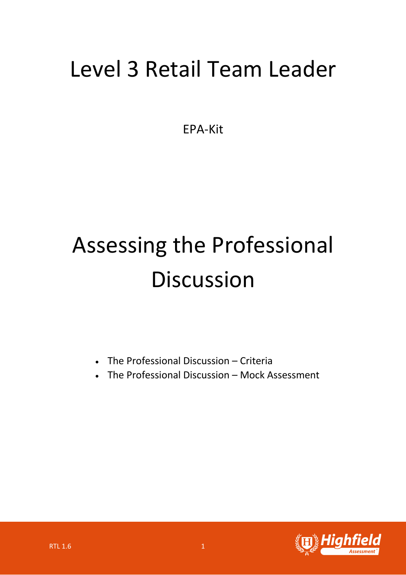## Level 3 Retail Team Leader

EPA-Kit

## Assessing the Professional **Discussion**

- The Professional Discussion Criteria
- The Professional Discussion Mock Assessment

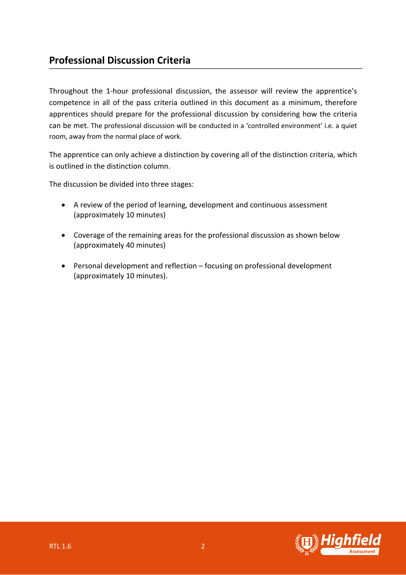## **Professional Discussion Criteria**

Throughout the 1-hour professional discussion, the assessor will review the apprentice's competence in all of the pass criteria outlined in this document as a minimum, therefore apprentices should prepare for the professional discussion by considering how the criteria can be met. The professional discussion will be conducted in a 'controlled environment' i.e. a quiet room, away from the normal place of work.

The apprentice can only achieve a distinction by covering all of the distinction criteria, which is outlined in the distinction column.

The discussion be divided into three stages:

- A review of the period of learning, development and continuous assessment (approximately 10 minutes)
- Coverage of the remaining areas for the professional discussion as shown below (approximately 40 minutes)
- Personal development and reflection focusing on professional development (approximately 10 minutes).

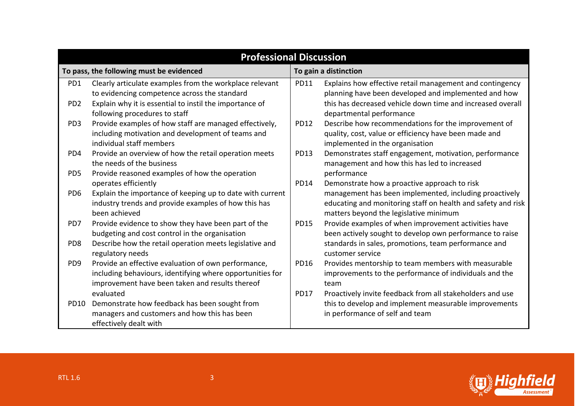| <b>Professional Discussion</b>           |                                                                                                                                                                     |                       |                                                                                                                                                                                                                  |
|------------------------------------------|---------------------------------------------------------------------------------------------------------------------------------------------------------------------|-----------------------|------------------------------------------------------------------------------------------------------------------------------------------------------------------------------------------------------------------|
| To pass, the following must be evidenced |                                                                                                                                                                     | To gain a distinction |                                                                                                                                                                                                                  |
| PD1                                      | Clearly articulate examples from the workplace relevant<br>to evidencing competence across the standard                                                             | <b>PD11</b>           | Explains how effective retail management and contingency<br>planning have been developed and implemented and how                                                                                                 |
| PD <sub>2</sub>                          | Explain why it is essential to instil the importance of<br>following procedures to staff                                                                            |                       | this has decreased vehicle down time and increased overall<br>departmental performance                                                                                                                           |
| PD <sub>3</sub>                          | Provide examples of how staff are managed effectively,<br>including motivation and development of teams and<br>individual staff members                             | <b>PD12</b>           | Describe how recommendations for the improvement of<br>quality, cost, value or efficiency have been made and<br>implemented in the organisation                                                                  |
| PD4                                      | Provide an overview of how the retail operation meets<br>the needs of the business                                                                                  | <b>PD13</b>           | Demonstrates staff engagement, motivation, performance<br>management and how this has led to increased                                                                                                           |
| PD <sub>5</sub>                          | Provide reasoned examples of how the operation                                                                                                                      |                       | performance                                                                                                                                                                                                      |
| PD <sub>6</sub>                          | operates efficiently<br>Explain the importance of keeping up to date with current<br>industry trends and provide examples of how this has<br>been achieved          | PD14                  | Demonstrate how a proactive approach to risk<br>management has been implemented, including proactively<br>educating and monitoring staff on health and safety and risk<br>matters beyond the legislative minimum |
| PD7                                      | Provide evidence to show they have been part of the<br>budgeting and cost control in the organisation                                                               | <b>PD15</b>           | Provide examples of when improvement activities have<br>been actively sought to develop own performance to raise                                                                                                 |
| PD <sub>8</sub>                          | Describe how the retail operation meets legislative and<br>regulatory needs                                                                                         |                       | standards in sales, promotions, team performance and<br>customer service                                                                                                                                         |
| PD <sub>9</sub>                          | Provide an effective evaluation of own performance,<br>including behaviours, identifying where opportunities for<br>improvement have been taken and results thereof | <b>PD16</b>           | Provides mentorship to team members with measurable<br>improvements to the performance of individuals and the<br>team                                                                                            |
|                                          | evaluated                                                                                                                                                           | <b>PD17</b>           | Proactively invite feedback from all stakeholders and use                                                                                                                                                        |
| PD10                                     | Demonstrate how feedback has been sought from<br>managers and customers and how this has been<br>effectively dealt with                                             |                       | this to develop and implement measurable improvements<br>in performance of self and team                                                                                                                         |